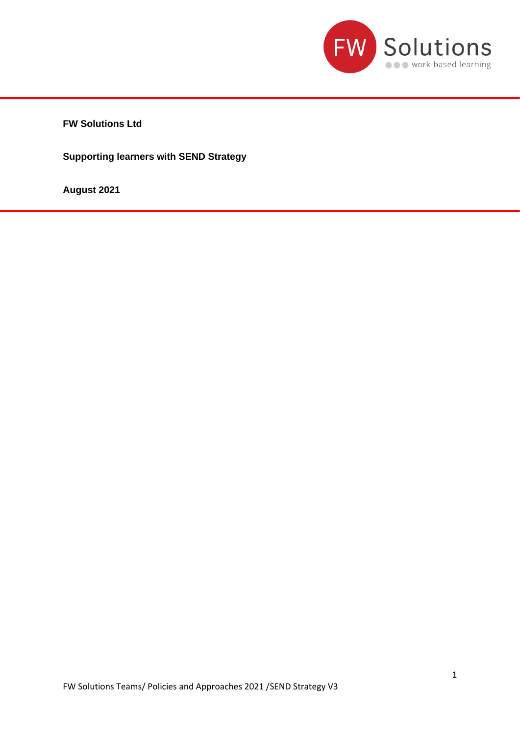

**FW Solutions Ltd**

**Supporting learners with SEND Strategy**

**August 2021**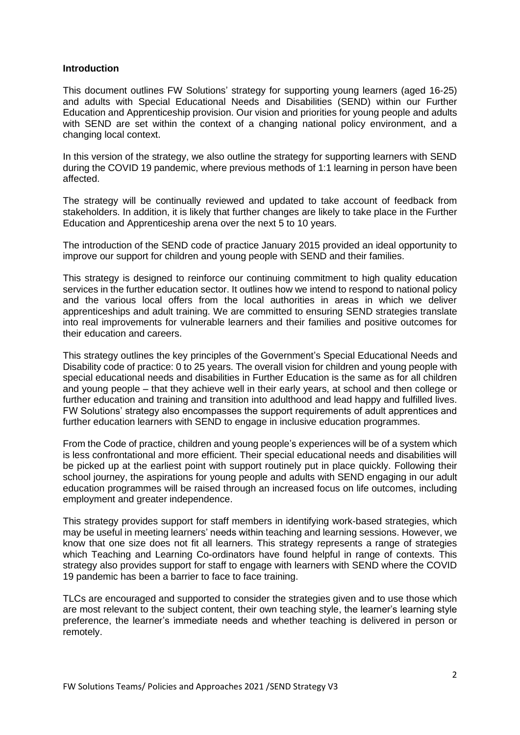#### **Introduction**

This document outlines FW Solutions' strategy for supporting young learners (aged 16-25) and adults with Special Educational Needs and Disabilities (SEND) within our Further Education and Apprenticeship provision. Our vision and priorities for young people and adults with SEND are set within the context of a changing national policy environment, and a changing local context.

In this version of the strategy, we also outline the strategy for supporting learners with SEND during the COVID 19 pandemic, where previous methods of 1:1 learning in person have been affected.

The strategy will be continually reviewed and updated to take account of feedback from stakeholders. In addition, it is likely that further changes are likely to take place in the Further Education and Apprenticeship arena over the next 5 to 10 years.

The introduction of the SEND code of practice January 2015 provided an ideal opportunity to improve our support for children and young people with SEND and their families.

This strategy is designed to reinforce our continuing commitment to high quality education services in the further education sector. It outlines how we intend to respond to national policy and the various local offers from the local authorities in areas in which we deliver apprenticeships and adult training. We are committed to ensuring SEND strategies translate into real improvements for vulnerable learners and their families and positive outcomes for their education and careers.

This strategy outlines the key principles of the Government's Special Educational Needs and Disability code of practice: 0 to 25 years. The overall vision for children and young people with special educational needs and disabilities in Further Education is the same as for all children and young people – that they achieve well in their early years, at school and then college or further education and training and transition into adulthood and lead happy and fulfilled lives. FW Solutions' strategy also encompasses the support requirements of adult apprentices and further education learners with SEND to engage in inclusive education programmes.

From the Code of practice, children and young people's experiences will be of a system which is less confrontational and more efficient. Their special educational needs and disabilities will be picked up at the earliest point with support routinely put in place quickly. Following their school journey, the aspirations for young people and adults with SEND engaging in our adult education programmes will be raised through an increased focus on life outcomes, including employment and greater independence.

This strategy provides support for staff members in identifying work-based strategies, which may be useful in meeting learners' needs within teaching and learning sessions. However, we know that one size does not fit all learners. This strategy represents a range of strategies which Teaching and Learning Co-ordinators have found helpful in range of contexts. This strategy also provides support for staff to engage with learners with SEND where the COVID 19 pandemic has been a barrier to face to face training.

TLCs are encouraged and supported to consider the strategies given and to use those which are most relevant to the subject content, their own teaching style, the learner's learning style preference, the learner's immediate needs and whether teaching is delivered in person or remotely.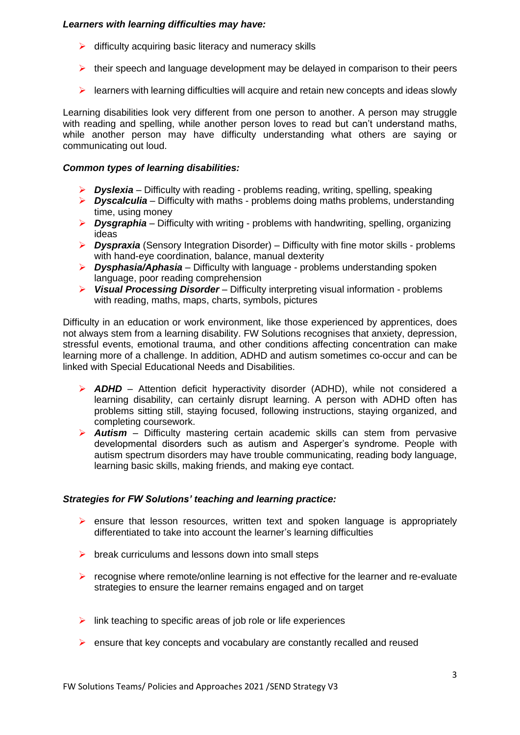# *Learners with learning difficulties may have:*

- $\triangleright$  difficulty acquiring basic literacy and numeracy skills
- $\triangleright$  their speech and language development may be delayed in comparison to their peers
- $\triangleright$  learners with learning difficulties will acquire and retain new concepts and ideas slowly

Learning disabilities look very different from one person to another. A person may struggle with reading and spelling, while another person loves to read but can't understand maths, while another person may have difficulty understanding what others are saying or communicating out loud.

# *Common types of learning disabilities:*

- ➢ *Dyslexia* Difficulty with reading problems reading, writing, spelling, speaking
- ➢ *Dyscalculia* Difficulty with maths problems doing maths problems, understanding time, using money
- ➢ *Dysgraphia* Difficulty with writing problems with handwriting, spelling, organizing ideas
- ➢ *Dyspraxia* (Sensory Integration Disorder) Difficulty with fine motor skills problems with hand-eye coordination, balance, manual dexterity
- ➢ *Dysphasia/Aphasia* Difficulty with language problems understanding spoken language, poor reading comprehension
- ➢ *Visual Processing Disorder* Difficulty interpreting visual information problems with reading, maths, maps, charts, symbols, pictures

Difficulty in an education or work environment, like those experienced by apprentices, does not always stem from a learning disability. FW Solutions recognises that anxiety, depression, stressful events, emotional trauma, and other conditions affecting concentration can make learning more of a challenge. In addition, ADHD and autism sometimes co-occur and can be linked with Special Educational Needs and Disabilities.

- ➢ *ADHD* Attention deficit hyperactivity disorder (ADHD), while not considered a learning disability, can certainly disrupt learning. A person with ADHD often has problems sitting still, staying focused, following instructions, staying organized, and completing coursework.
- ➢ *Autism*  Difficulty mastering certain academic skills can stem from pervasive developmental disorders such as autism and Asperger's syndrome. People with autism spectrum disorders may have trouble communicating, reading body language, learning basic skills, making friends, and making eye contact.

# *Strategies for FW Solutions' teaching and learning practice:*

- $\triangleright$  ensure that lesson resources, written text and spoken language is appropriately differentiated to take into account the learner's learning difficulties
- $\triangleright$  break curriculums and lessons down into small steps
- $\triangleright$  recognise where remote/online learning is not effective for the learner and re-evaluate strategies to ensure the learner remains engaged and on target
- $\triangleright$  link teaching to specific areas of job role or life experiences
- ➢ ensure that key concepts and vocabulary are constantly recalled and reused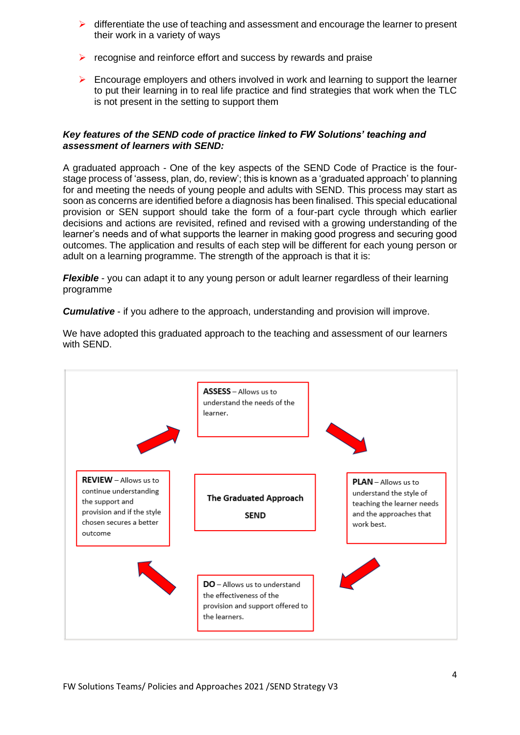- $\triangleright$  differentiate the use of teaching and assessment and encourage the learner to present their work in a variety of ways
- ➢ recognise and reinforce effort and success by rewards and praise
- $\triangleright$  Encourage employers and others involved in work and learning to support the learner to put their learning in to real life practice and find strategies that work when the TLC is not present in the setting to support them

# *Key features of the SEND code of practice linked to FW Solutions' teaching and assessment of learners with SEND:*

A graduated approach - One of the key aspects of the SEND Code of Practice is the fourstage process of 'assess, plan, do, review'; this is known as a 'graduated approach' to planning for and meeting the needs of young people and adults with SEND. This process may start as soon as concerns are identified before a diagnosis has been finalised. This special educational provision or SEN support should take the form of a four-part cycle through which earlier decisions and actions are revisited, refined and revised with a growing understanding of the learner's needs and of what supports the learner in making good progress and securing good outcomes. The application and results of each step will be different for each young person or adult on a learning programme. The strength of the approach is that it is:

*Flexible* - you can adapt it to any young person or adult learner regardless of their learning programme

*Cumulative* - if you adhere to the approach, understanding and provision will improve.



We have adopted this graduated approach to the teaching and assessment of our learners with SEND.